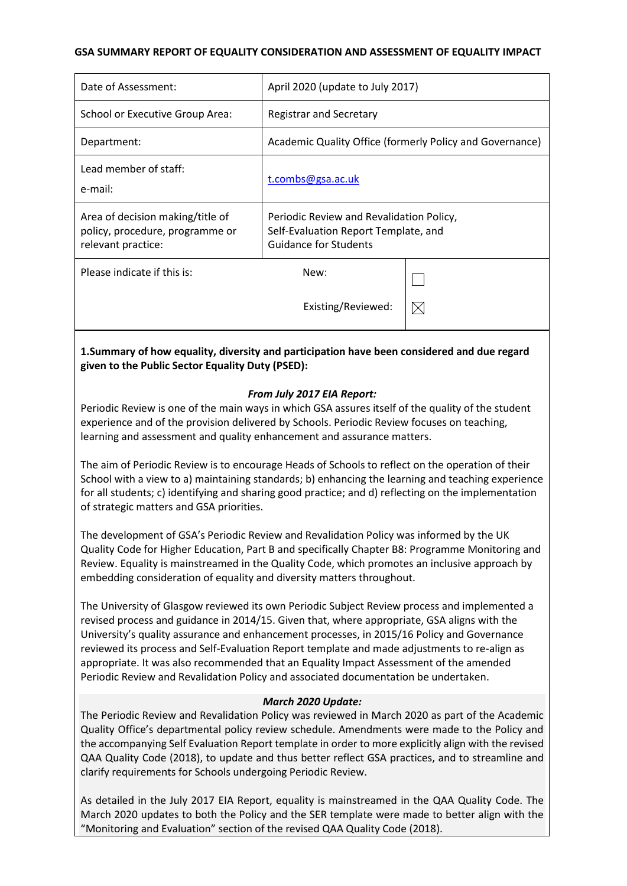## **GSA SUMMARY REPORT OF EQUALITY CONSIDERATION AND ASSESSMENT OF EQUALITY IMPACT**

| Date of Assessment:                                                                       | April 2020 (update to July 2017)                                                                          |             |
|-------------------------------------------------------------------------------------------|-----------------------------------------------------------------------------------------------------------|-------------|
| School or Executive Group Area:                                                           | <b>Registrar and Secretary</b>                                                                            |             |
| Department:                                                                               | Academic Quality Office (formerly Policy and Governance)                                                  |             |
| Lead member of staff:<br>e-mail:                                                          | t.combs@gsa.ac.uk                                                                                         |             |
| Area of decision making/title of<br>policy, procedure, programme or<br>relevant practice: | Periodic Review and Revalidation Policy,<br>Self-Evaluation Report Template, and<br>Guidance for Students |             |
| Please indicate if this is:                                                               | New:                                                                                                      |             |
|                                                                                           | Existing/Reviewed:                                                                                        | $\boxtimes$ |

# **1.Summary of how equality, diversity and participation have been considered and due regard given to the Public Sector Equality Duty (PSED):**

## *From July 2017 EIA Report:*

Periodic Review is one of the main ways in which GSA assures itself of the quality of the student experience and of the provision delivered by Schools. Periodic Review focuses on teaching, learning and assessment and quality enhancement and assurance matters.

The aim of Periodic Review is to encourage Heads of Schools to reflect on the operation of their School with a view to a) maintaining standards; b) enhancing the learning and teaching experience for all students; c) identifying and sharing good practice; and d) reflecting on the implementation of strategic matters and GSA priorities.

The development of GSA's Periodic Review and Revalidation Policy was informed by the UK Quality Code for Higher Education, Part B and specifically Chapter B8: Programme Monitoring and Review. Equality is mainstreamed in the Quality Code, which promotes an inclusive approach by embedding consideration of equality and diversity matters throughout.

The University of Glasgow reviewed its own Periodic Subject Review process and implemented a revised process and guidance in 2014/15. Given that, where appropriate, GSA aligns with the University's quality assurance and enhancement processes, in 2015/16 Policy and Governance reviewed its process and Self-Evaluation Report template and made adjustments to re-align as appropriate. It was also recommended that an Equality Impact Assessment of the amended Periodic Review and Revalidation Policy and associated documentation be undertaken.

#### *March 2020 Update:*

The Periodic Review and Revalidation Policy was reviewed in March 2020 as part of the Academic Quality Office's departmental policy review schedule. Amendments were made to the Policy and the accompanying Self Evaluation Report template in order to more explicitly align with the revised QAA Quality Code (2018), to update and thus better reflect GSA practices, and to streamline and clarify requirements for Schools undergoing Periodic Review.

As detailed in the July 2017 EIA Report, equality is mainstreamed in the QAA Quality Code. The March 2020 updates to both the Policy and the SER template were made to better align with the "Monitoring and Evaluation" section of the revised QAA Quality Code (2018).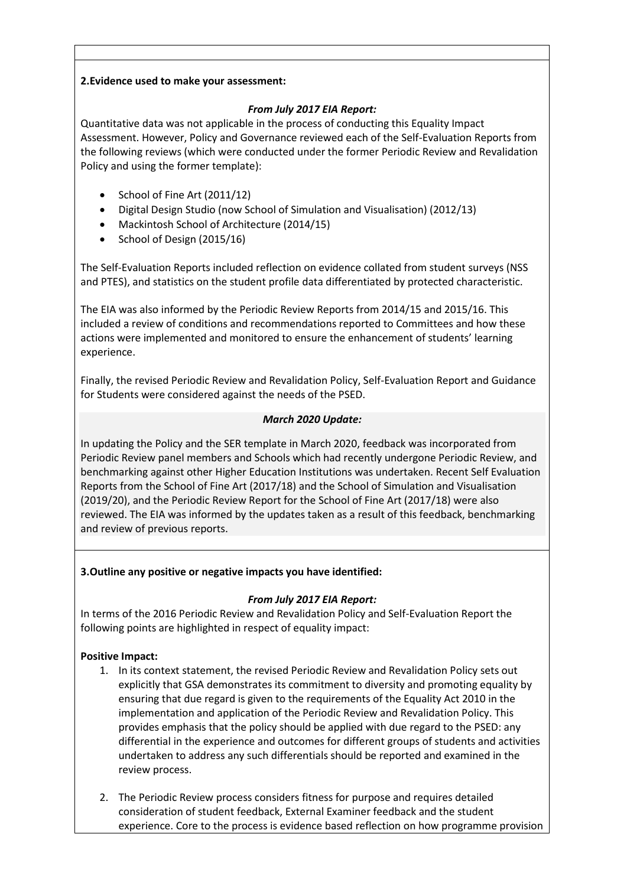## **2.Evidence used to make your assessment:**

## *From July 2017 EIA Report:*

Quantitative data was not applicable in the process of conducting this Equality Impact Assessment. However, Policy and Governance reviewed each of the Self-Evaluation Reports from the following reviews (which were conducted under the former Periodic Review and Revalidation Policy and using the former template):

- School of Fine Art (2011/12)
- Digital Design Studio (now School of Simulation and Visualisation) (2012/13)
- Mackintosh School of Architecture (2014/15)
- School of Design (2015/16)

The Self-Evaluation Reports included reflection on evidence collated from student surveys (NSS and PTES), and statistics on the student profile data differentiated by protected characteristic.

The EIA was also informed by the Periodic Review Reports from 2014/15 and 2015/16. This included a review of conditions and recommendations reported to Committees and how these actions were implemented and monitored to ensure the enhancement of students' learning experience.

Finally, the revised Periodic Review and Revalidation Policy, Self-Evaluation Report and Guidance for Students were considered against the needs of the PSED.

# *March 2020 Update:*

In updating the Policy and the SER template in March 2020, feedback was incorporated from Periodic Review panel members and Schools which had recently undergone Periodic Review, and benchmarking against other Higher Education Institutions was undertaken. Recent Self Evaluation Reports from the School of Fine Art (2017/18) and the School of Simulation and Visualisation (2019/20), and the Periodic Review Report for the School of Fine Art (2017/18) were also reviewed. The EIA was informed by the updates taken as a result of this feedback, benchmarking and review of previous reports.

# **3.Outline any positive or negative impacts you have identified:**

# *From July 2017 EIA Report:*

In terms of the 2016 Periodic Review and Revalidation Policy and Self-Evaluation Report the following points are highlighted in respect of equality impact:

# **Positive Impact:**

- 1. In its context statement, the revised Periodic Review and Revalidation Policy sets out explicitly that GSA demonstrates its commitment to diversity and promoting equality by ensuring that due regard is given to the requirements of the Equality Act 2010 in the implementation and application of the Periodic Review and Revalidation Policy. This provides emphasis that the policy should be applied with due regard to the PSED: any differential in the experience and outcomes for different groups of students and activities undertaken to address any such differentials should be reported and examined in the review process.
- 2. The Periodic Review process considers fitness for purpose and requires detailed consideration of student feedback, External Examiner feedback and the student experience. Core to the process is evidence based reflection on how programme provision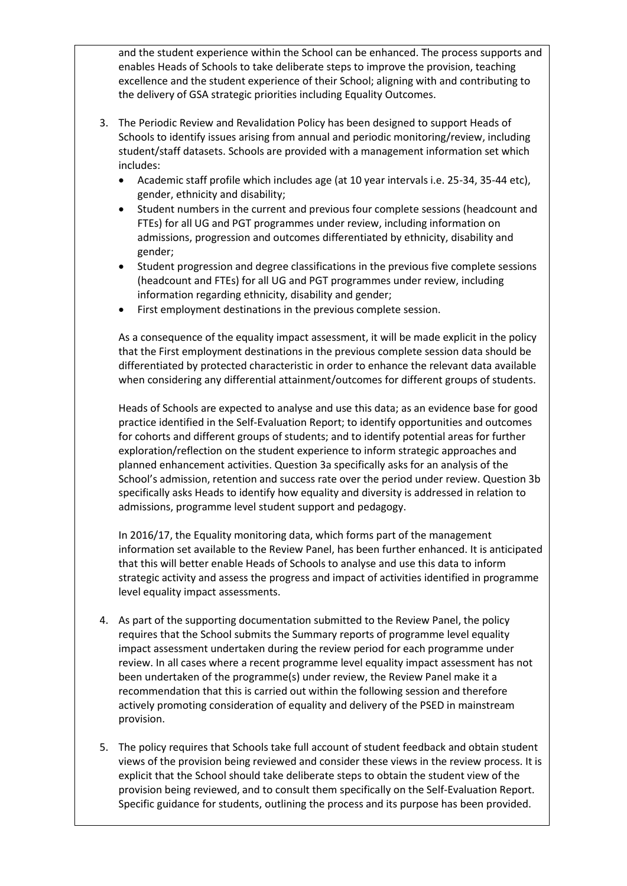and the student experience within the School can be enhanced. The process supports and enables Heads of Schools to take deliberate steps to improve the provision, teaching excellence and the student experience of their School; aligning with and contributing to the delivery of GSA strategic priorities including Equality Outcomes.

- 3. The Periodic Review and Revalidation Policy has been designed to support Heads of Schools to identify issues arising from annual and periodic monitoring/review, including student/staff datasets. Schools are provided with a management information set which includes:
	- Academic staff profile which includes age (at 10 year intervals i.e. 25-34, 35-44 etc), gender, ethnicity and disability;
	- Student numbers in the current and previous four complete sessions (headcount and FTEs) for all UG and PGT programmes under review, including information on admissions, progression and outcomes differentiated by ethnicity, disability and gender;
	- Student progression and degree classifications in the previous five complete sessions (headcount and FTEs) for all UG and PGT programmes under review, including information regarding ethnicity, disability and gender;
	- First employment destinations in the previous complete session.

As a consequence of the equality impact assessment, it will be made explicit in the policy that the First employment destinations in the previous complete session data should be differentiated by protected characteristic in order to enhance the relevant data available when considering any differential attainment/outcomes for different groups of students.

Heads of Schools are expected to analyse and use this data; as an evidence base for good practice identified in the Self-Evaluation Report; to identify opportunities and outcomes for cohorts and different groups of students; and to identify potential areas for further exploration/reflection on the student experience to inform strategic approaches and planned enhancement activities. Question 3a specifically asks for an analysis of the School's admission, retention and success rate over the period under review. Question 3b specifically asks Heads to identify how equality and diversity is addressed in relation to admissions, programme level student support and pedagogy.

In 2016/17, the Equality monitoring data, which forms part of the management information set available to the Review Panel, has been further enhanced. It is anticipated that this will better enable Heads of Schools to analyse and use this data to inform strategic activity and assess the progress and impact of activities identified in programme level equality impact assessments.

- 4. As part of the supporting documentation submitted to the Review Panel, the policy requires that the School submits the Summary reports of programme level equality impact assessment undertaken during the review period for each programme under review. In all cases where a recent programme level equality impact assessment has not been undertaken of the programme(s) under review, the Review Panel make it a recommendation that this is carried out within the following session and therefore actively promoting consideration of equality and delivery of the PSED in mainstream provision.
- 5. The policy requires that Schools take full account of student feedback and obtain student views of the provision being reviewed and consider these views in the review process. It is explicit that the School should take deliberate steps to obtain the student view of the provision being reviewed, and to consult them specifically on the Self-Evaluation Report. Specific guidance for students, outlining the process and its purpose has been provided.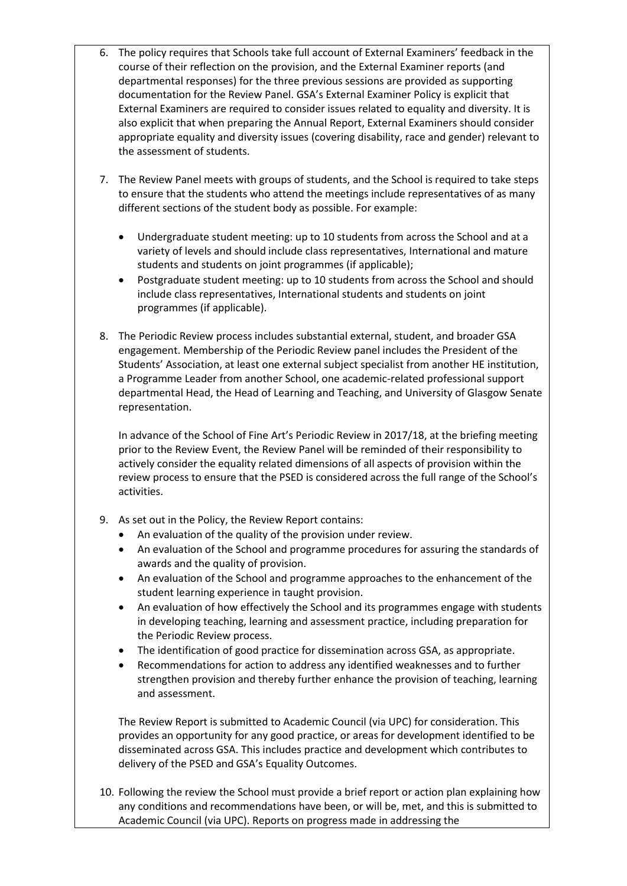- 6. The policy requires that Schools take full account of External Examiners' feedback in the course of their reflection on the provision, and the External Examiner reports (and departmental responses) for the three previous sessions are provided as supporting documentation for the Review Panel. GSA's External Examiner Policy is explicit that External Examiners are required to consider issues related to equality and diversity. It is also explicit that when preparing the Annual Report, External Examiners should consider appropriate equality and diversity issues (covering disability, race and gender) relevant to the assessment of students.
- 7. The Review Panel meets with groups of students, and the School is required to take steps to ensure that the students who attend the meetings include representatives of as many different sections of the student body as possible. For example:
	- Undergraduate student meeting: up to 10 students from across the School and at a variety of levels and should include class representatives, International and mature students and students on joint programmes (if applicable);
	- Postgraduate student meeting: up to 10 students from across the School and should include class representatives, International students and students on joint programmes (if applicable).
- 8. The Periodic Review process includes substantial external, student, and broader GSA engagement. Membership of the Periodic Review panel includes the President of the Students' Association, at least one external subject specialist from another HE institution, a Programme Leader from another School, one academic-related professional support departmental Head, the Head of Learning and Teaching, and University of Glasgow Senate representation.

In advance of the School of Fine Art's Periodic Review in 2017/18, at the briefing meeting prior to the Review Event, the Review Panel will be reminded of their responsibility to actively consider the equality related dimensions of all aspects of provision within the review process to ensure that the PSED is considered across the full range of the School's activities.

- 9. As set out in the Policy, the Review Report contains:
	- An evaluation of the quality of the provision under review.
	- An evaluation of the School and programme procedures for assuring the standards of awards and the quality of provision.
	- An evaluation of the School and programme approaches to the enhancement of the student learning experience in taught provision.
	- An evaluation of how effectively the School and its programmes engage with students in developing teaching, learning and assessment practice, including preparation for the Periodic Review process.
	- The identification of good practice for dissemination across GSA, as appropriate.
	- Recommendations for action to address any identified weaknesses and to further strengthen provision and thereby further enhance the provision of teaching, learning and assessment.

The Review Report is submitted to Academic Council (via UPC) for consideration. This provides an opportunity for any good practice, or areas for development identified to be disseminated across GSA. This includes practice and development which contributes to delivery of the PSED and GSA's Equality Outcomes.

10. Following the review the School must provide a brief report or action plan explaining how any conditions and recommendations have been, or will be, met, and this is submitted to Academic Council (via UPC). Reports on progress made in addressing the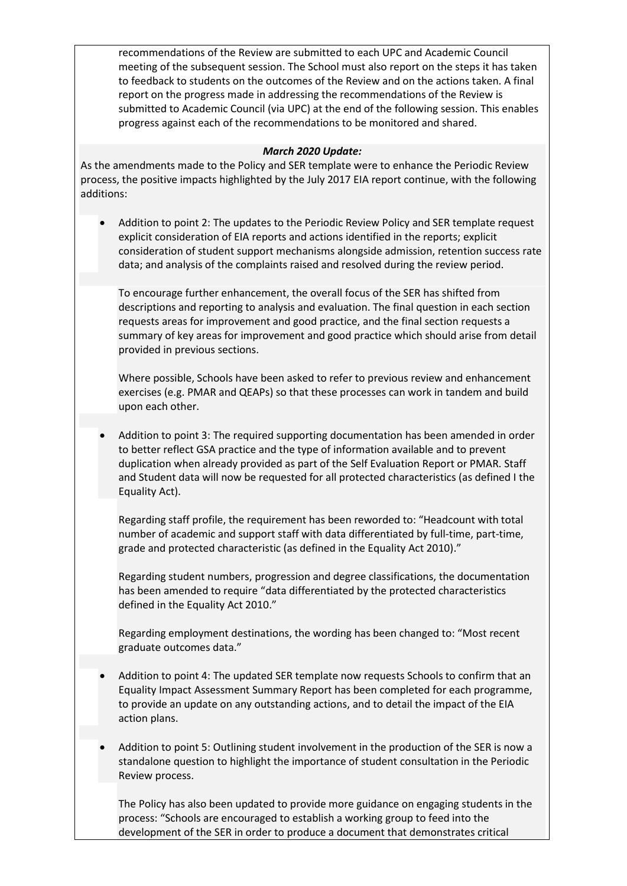recommendations of the Review are submitted to each UPC and Academic Council meeting of the subsequent session. The School must also report on the steps it has taken to feedback to students on the outcomes of the Review and on the actions taken. A final report on the progress made in addressing the recommendations of the Review is submitted to Academic Council (via UPC) at the end of the following session. This enables progress against each of the recommendations to be monitored and shared.

## *March 2020 Update:*

As the amendments made to the Policy and SER template were to enhance the Periodic Review process, the positive impacts highlighted by the July 2017 EIA report continue, with the following additions:

 Addition to point 2: The updates to the Periodic Review Policy and SER template request explicit consideration of EIA reports and actions identified in the reports; explicit consideration of student support mechanisms alongside admission, retention success rate data; and analysis of the complaints raised and resolved during the review period.

To encourage further enhancement, the overall focus of the SER has shifted from descriptions and reporting to analysis and evaluation. The final question in each section requests areas for improvement and good practice, and the final section requests a summary of key areas for improvement and good practice which should arise from detail provided in previous sections.

Where possible, Schools have been asked to refer to previous review and enhancement exercises (e.g. PMAR and QEAPs) so that these processes can work in tandem and build upon each other.

 Addition to point 3: The required supporting documentation has been amended in order to better reflect GSA practice and the type of information available and to prevent duplication when already provided as part of the Self Evaluation Report or PMAR. Staff and Student data will now be requested for all protected characteristics (as defined I the Equality Act).

Regarding staff profile, the requirement has been reworded to: "Headcount with total number of academic and support staff with data differentiated by full-time, part-time, grade and protected characteristic (as defined in the Equality Act 2010)."

Regarding student numbers, progression and degree classifications, the documentation has been amended to require "data differentiated by the protected characteristics defined in the Equality Act 2010."

Regarding employment destinations, the wording has been changed to: "Most recent graduate outcomes data."

- Addition to point 4: The updated SER template now requests Schools to confirm that an Equality Impact Assessment Summary Report has been completed for each programme, to provide an update on any outstanding actions, and to detail the impact of the EIA action plans.
- Addition to point 5: Outlining student involvement in the production of the SER is now a standalone question to highlight the importance of student consultation in the Periodic Review process.

The Policy has also been updated to provide more guidance on engaging students in the process: "Schools are encouraged to establish a working group to feed into the development of the SER in order to produce a document that demonstrates critical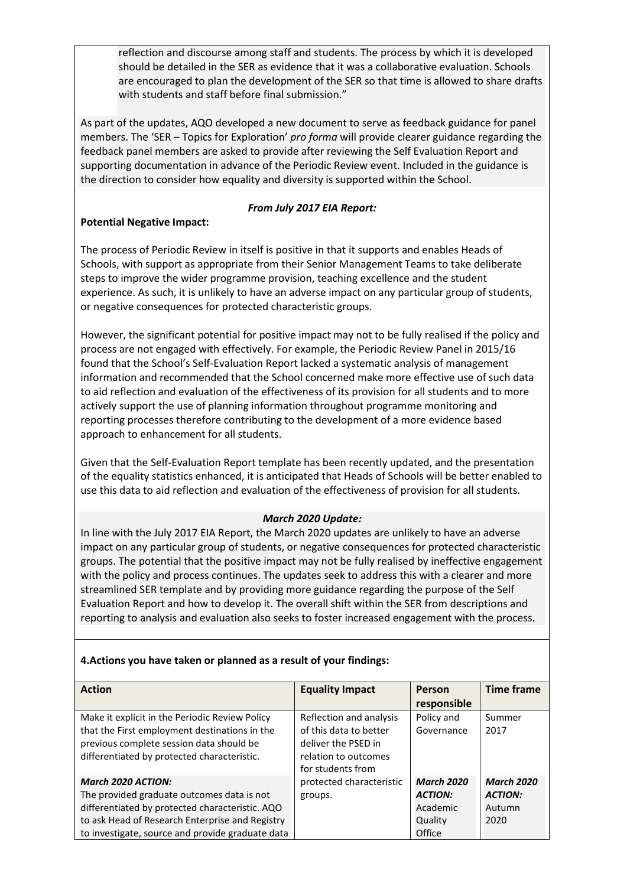reflection and discourse among staff and students. The process by which it is developed should be detailed in the SER as evidence that it was a collaborative evaluation. Schools are encouraged to plan the development of the SER so that time is allowed to share drafts with students and staff before final submission."

As part of the updates, AQO developed a new document to serve as feedback guidance for panel members. The 'SER – Topics for Exploration' *pro forma* will provide clearer guidance regarding the feedback panel members are asked to provide after reviewing the Self Evaluation Report and supporting documentation in advance of the Periodic Review event. Included in the guidance is the direction to consider how equality and diversity is supported within the School.

# *From July 2017 EIA Report:*

## **Potential Negative Impact:**

The process of Periodic Review in itself is positive in that it supports and enables Heads of Schools, with support as appropriate from their Senior Management Teams to take deliberate steps to improve the wider programme provision, teaching excellence and the student experience. As such, it is unlikely to have an adverse impact on any particular group of students, or negative consequences for protected characteristic groups.

However, the significant potential for positive impact may not to be fully realised if the policy and process are not engaged with effectively. For example, the Periodic Review Panel in 2015/16 found that the School's Self-Evaluation Report lacked a systematic analysis of management information and recommended that the School concerned make more effective use of such data to aid reflection and evaluation of the effectiveness of its provision for all students and to more actively support the use of planning information throughout programme monitoring and reporting processes therefore contributing to the development of a more evidence based approach to enhancement for all students.

Given that the Self-Evaluation Report template has been recently updated, and the presentation of the equality statistics enhanced, it is anticipated that Heads of Schools will be better enabled to use this data to aid reflection and evaluation of the effectiveness of provision for all students.

# *March 2020 Update:*

In line with the July 2017 EIA Report, the March 2020 updates are unlikely to have an adverse impact on any particular group of students, or negative consequences for protected characteristic groups. The potential that the positive impact may not be fully realised by ineffective engagement with the policy and process continues. The updates seek to address this with a clearer and more streamlined SER template and by providing more guidance regarding the purpose of the Self Evaluation Report and how to develop it. The overall shift within the SER from descriptions and reporting to analysis and evaluation also seeks to foster increased engagement with the process.

# **4.Actions you have taken or planned as a result of your findings:**

| <b>Action</b>                                    | <b>Equality Impact</b>   | Person            | <b>Time frame</b> |
|--------------------------------------------------|--------------------------|-------------------|-------------------|
|                                                  |                          | responsible       |                   |
| Make it explicit in the Periodic Review Policy   | Reflection and analysis  | Policy and        | Summer            |
| that the First employment destinations in the    | of this data to better   | Governance        | 2017              |
| previous complete session data should be         | deliver the PSED in      |                   |                   |
| differentiated by protected characteristic.      | relation to outcomes     |                   |                   |
|                                                  | for students from        |                   |                   |
| March 2020 ACTION:                               | protected characteristic | <b>March 2020</b> | <b>March 2020</b> |
| The provided graduate outcomes data is not       | groups.                  | <b>ACTION:</b>    | <b>ACTION:</b>    |
| differentiated by protected characteristic. AQO  |                          | Academic          | Autumn            |
| to ask Head of Research Enterprise and Registry  |                          | Quality           | 2020              |
| to investigate, source and provide graduate data |                          | Office            |                   |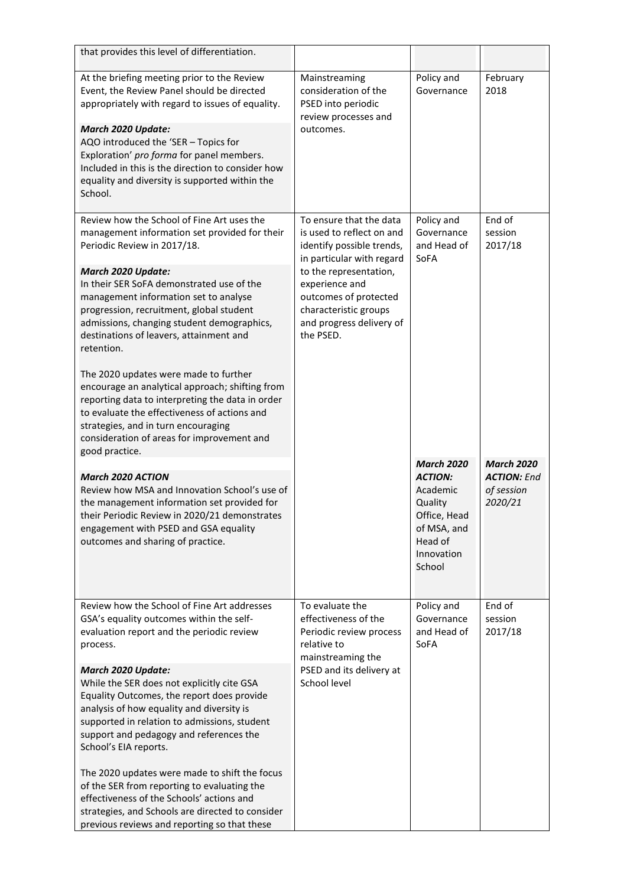| that provides this level of differentiation.                                                                                                                                                                                                                                                                                                                               |                                                                                                                                                                  |                                                                                                                              |                                                                  |
|----------------------------------------------------------------------------------------------------------------------------------------------------------------------------------------------------------------------------------------------------------------------------------------------------------------------------------------------------------------------------|------------------------------------------------------------------------------------------------------------------------------------------------------------------|------------------------------------------------------------------------------------------------------------------------------|------------------------------------------------------------------|
| At the briefing meeting prior to the Review<br>Event, the Review Panel should be directed<br>appropriately with regard to issues of equality.<br>March 2020 Update:<br>AQO introduced the 'SER - Topics for<br>Exploration' pro forma for panel members.<br>Included in this is the direction to consider how<br>equality and diversity is supported within the<br>School. | Mainstreaming<br>consideration of the<br>PSED into periodic<br>review processes and<br>outcomes.                                                                 | Policy and<br>Governance                                                                                                     | February<br>2018                                                 |
| Review how the School of Fine Art uses the<br>management information set provided for their<br>Periodic Review in 2017/18.                                                                                                                                                                                                                                                 | To ensure that the data<br>is used to reflect on and<br>identify possible trends,                                                                                | Policy and<br>Governance<br>and Head of                                                                                      | End of<br>session<br>2017/18                                     |
| March 2020 Update:<br>In their SER SoFA demonstrated use of the<br>management information set to analyse<br>progression, recruitment, global student<br>admissions, changing student demographics,<br>destinations of leavers, attainment and<br>retention.                                                                                                                | in particular with regard<br>to the representation,<br>experience and<br>outcomes of protected<br>characteristic groups<br>and progress delivery of<br>the PSED. | SoFA                                                                                                                         |                                                                  |
| The 2020 updates were made to further<br>encourage an analytical approach; shifting from<br>reporting data to interpreting the data in order<br>to evaluate the effectiveness of actions and<br>strategies, and in turn encouraging<br>consideration of areas for improvement and<br>good practice.                                                                        |                                                                                                                                                                  |                                                                                                                              |                                                                  |
| <b>March 2020 ACTION</b><br>Review how MSA and Innovation School's use of<br>the management information set provided for<br>their Periodic Review in 2020/21 demonstrates<br>engagement with PSED and GSA equality<br>outcomes and sharing of practice.                                                                                                                    |                                                                                                                                                                  | <b>March 2020</b><br><b>ACTION:</b><br>Academic<br>Quality<br>Office, Head<br>of MSA, and<br>Head of<br>Innovation<br>School | <b>March 2020</b><br><b>ACTION: End</b><br>of session<br>2020/21 |
| Review how the School of Fine Art addresses<br>GSA's equality outcomes within the self-<br>evaluation report and the periodic review<br>process.                                                                                                                                                                                                                           | To evaluate the<br>effectiveness of the<br>Periodic review process<br>relative to<br>mainstreaming the<br>PSED and its delivery at<br>School level               | Policy and<br>Governance<br>and Head of<br>SoFA                                                                              | End of<br>session<br>2017/18                                     |
| March 2020 Update:<br>While the SER does not explicitly cite GSA<br>Equality Outcomes, the report does provide<br>analysis of how equality and diversity is<br>supported in relation to admissions, student<br>support and pedagogy and references the<br>School's EIA reports.                                                                                            |                                                                                                                                                                  |                                                                                                                              |                                                                  |
| The 2020 updates were made to shift the focus<br>of the SER from reporting to evaluating the<br>effectiveness of the Schools' actions and<br>strategies, and Schools are directed to consider<br>previous reviews and reporting so that these                                                                                                                              |                                                                                                                                                                  |                                                                                                                              |                                                                  |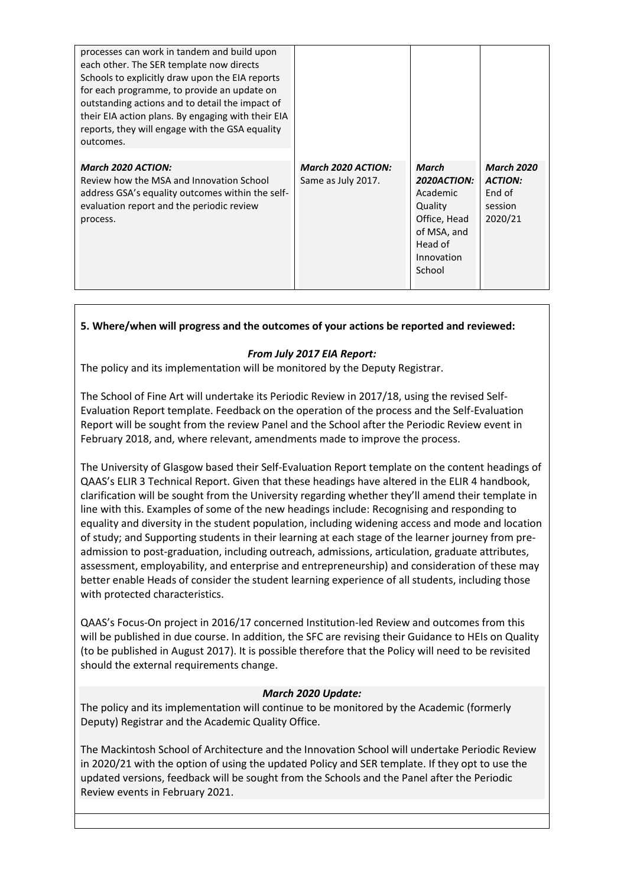| processes can work in tandem and build upon<br>each other. The SER template now directs<br>Schools to explicitly draw upon the EIA reports<br>for each programme, to provide an update on<br>outstanding actions and to detail the impact of<br>their EIA action plans. By engaging with their EIA<br>reports, they will engage with the GSA equality<br>outcomes. |                                                 |                                                                                                               |                                                                     |
|--------------------------------------------------------------------------------------------------------------------------------------------------------------------------------------------------------------------------------------------------------------------------------------------------------------------------------------------------------------------|-------------------------------------------------|---------------------------------------------------------------------------------------------------------------|---------------------------------------------------------------------|
| <b>March 2020 ACTION:</b><br>Review how the MSA and Innovation School<br>address GSA's equality outcomes within the self-<br>evaluation report and the periodic review<br>process.                                                                                                                                                                                 | <b>March 2020 ACTION:</b><br>Same as July 2017. | March<br>2020ACTION:<br>Academic<br>Quality<br>Office, Head<br>of MSA, and<br>Head of<br>Innovation<br>School | <b>March 2020</b><br><b>ACTION:</b><br>End of<br>session<br>2020/21 |

# **5. Where/when will progress and the outcomes of your actions be reported and reviewed:**

## *From July 2017 EIA Report:*

The policy and its implementation will be monitored by the Deputy Registrar.

The School of Fine Art will undertake its Periodic Review in 2017/18, using the revised Self-Evaluation Report template. Feedback on the operation of the process and the Self-Evaluation Report will be sought from the review Panel and the School after the Periodic Review event in February 2018, and, where relevant, amendments made to improve the process.

The University of Glasgow based their Self-Evaluation Report template on the content headings of QAAS's ELIR 3 Technical Report. Given that these headings have altered in the ELIR 4 handbook, clarification will be sought from the University regarding whether they'll amend their template in line with this. Examples of some of the new headings include: Recognising and responding to equality and diversity in the student population, including widening access and mode and location of study; and Supporting students in their learning at each stage of the learner journey from preadmission to post-graduation, including outreach, admissions, articulation, graduate attributes, assessment, employability, and enterprise and entrepreneurship) and consideration of these may better enable Heads of consider the student learning experience of all students, including those with protected characteristics.

QAAS's Focus-On project in 2016/17 concerned Institution-led Review and outcomes from this will be published in due course. In addition, the SFC are revising their Guidance to HEIs on Quality (to be published in August 2017). It is possible therefore that the Policy will need to be revisited should the external requirements change.

#### *March 2020 Update:*

The policy and its implementation will continue to be monitored by the Academic (formerly Deputy) Registrar and the Academic Quality Office.

The Mackintosh School of Architecture and the Innovation School will undertake Periodic Review in 2020/21 with the option of using the updated Policy and SER template. If they opt to use the updated versions, feedback will be sought from the Schools and the Panel after the Periodic Review events in February 2021.